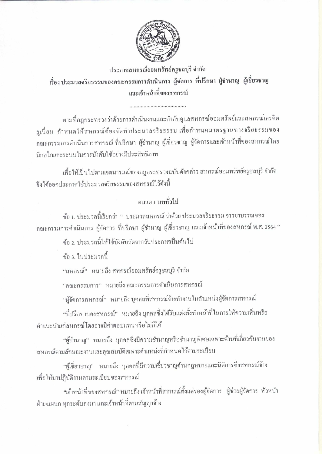

ประกาศสหกรณ์ออมทรัพย์ครูชลบุรี จำกัด เรื่อง ประมวลจริยธรรมของคณะกรรมการดำเนินการ ผู้จัดการ ที่ปรึกษา ผู้ชำนาญ ผู้เชี่ยวชาญ และเจ้าหน้าที่ของสหกรณ์

ตามที่กฎกระทรวงว่าด้วยการดำเนินงานและกำกับดูแลสหกรณ์ออมทรัพย์และสหกรณ์เครดิต ยูเนี่ยน กำหนดให้สหกรณ์ต้องจัดทำประมวลจริยธรรม เพื่อกำหนดมาตรฐานทางจริยธรรมของ คณะกรรมการคำเนินการสหกรณ์ ที่ปรึกษา ผู้ชำนาญ ผู้เชี่ยวชาญ ผู้จัดการและเจ้าหน้าที่ของสหกรณ์โดย มีกลไกและระบบในการบังคับใช้อย่างมีประสิทธิภาพ

เพื่อให้เป็นไปตามเจตนารมณ์ของกฎกระทรวงฉบับดังกล่าว สหกรณ์ออมทรัพย์ครูชลบุรี จำกัด จึงใค้ออกประกาศใช้ประมวลจริยธรรมของสหกรณ์ไว้คังนี้

## หมวด 1 บททั่วไป

ข้อ 1. ประมวลนี้เรียกว่า " ประมวลสหกรณ์ ว่าด้วย ประมวลจริยธรรม จรรยาบรรณของ คณะกรรมการคำเนินการ ผู้จัดการ ที่ปรึกษา ผู้ชำนาญ ผู้เชี่ยวชาญ และเจ้าหน้าที่ของสหกรณ์ พ.ศ. 2564 "

้ข้อ ว ประมวลนี้ให้ใช้บังคับถัดจากวันประกาศเป็นต้นไป

ข้อ ง ในประมวลนี้

"สหกรณ์" หมายถึง สหกรณ์ออมทรัพย์ครูชลบุรี จำกัด

"คณะกรรมการ" หมายถึง คณะกรรมการคำเนินการสหกรณ์

"ผู้จัดการสหกรณ์" หมายถึง บุคคลที่สหกรณ์จ้างทำงานในตำแหน่งผู้จัดการสหกรณ์

"ที่ปรึกษาของสหกรณ์" หมายถึง บุคคลซึ่งได้รับแต่งตั้งทำหน้าที่ในการให้ความเห็นหรือ ดำแนะนำแก่สหกรณ์โดยอาจมีค่าตอบแทนหรือไม่ก็ได้

"ผู้ชำนาญ" หมายถึง บุคคลซึ่งมีความชำนาญหรือชำนาญพิเศษเฉพาะด้านที่เกี่ยวกับงานของ สหกรณ์ตามลักษณะงานและคุณสมบัติเฉพาะตำแหน่งที่กำหนดไว้ตามระเบียบ

"ผู้เชี่ยวชาญ" หมายถึง บุคคลที่มีความเชี่ยวชาญค้านกฎหมายและนิติการซึ่งสหกรณ์จ้าง เพื่อให้มาปฏิบัติงานตามระเบียบของสหกรณ์

"เจ้าหน้าที่ของสหกรณ์" หมายถึง เจ้าหน้าที่สหกรณ์ตั้งแต่รองผู้จัดการ ผู้ช่วยผู้จัดการ หัวหน้า ฝ่าย/แผนก ทุกระดับลงมา และเจ้าหน้าที่ตามสัญญาจ้าง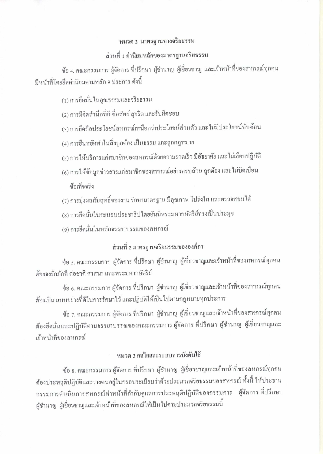# หมวด 2 มาตรฐานทางจริยธรรม ส่วนที่ 1 ค่านิยมหลักของมาตรฐานจริยธรรม

ข้อ 4. คณะกรรมการ ผู้จัดการ ที่ปรึกษา ผู้ชำนาญ ผู้เชี่ยวชาญ และเจ้าหน้าที่ของสหกรณ์ทุกคน มีหน้าที่โดยยึดค่านิยมตามหลัก 9 ประการ ดังนี้

(1) การยึดมั่นในคุณธรรมและจริยธรรม

(2) การมีจิตสำนึกที่ดี ซื่อสัตย์ สุจริต และรับผิดชอบ

(3) การยึดถือประ โยชน์สหกรณ์เหนือกว่าประ โยชน์ส่วนตัว และ ไม่มีประ โยชน์ทับซ้อน

(4) การยืนหยัดทำในสิ่งถูกต้อง เป็นธรรม และถูกกฎหมาย

- (5) การให้บริการแก่สมาชิกของสหกรณ์ด้วยความรวดเร็ว มีอัธยาศัย และไม่เลือกปฏิบัติ
- (6) การให้ข้อมูลข่าวสารแก่สมาชิกของสหกรณ์อย่างครบถ้วน ถูกต้อง และไม่บิดเบื่อน ข้อเท็จจริง
- (7) การมุ่งผลสัมฤทธิ์ของงาน รักษามาตรฐาน มีคุณภาพ โปร่งใส และตรวจสอบได้
- (8) การยึดมั่นในระบอบประชาธิปไตยอันมีพระมหากษัตริย์ทรงเป็นประมุข
- (9) การยึดมั่นในหลักจรรยาบรรณของสหกรณ์

### ส่วนที่ 2 มาตรฐานจริยธรรมขององค์กร

ข้อ ร. คณะกรรมการ ผู้จัดการ ที่ปรึกษา ผู้ชำนาญ ผู้เชี่ยวชาญและเจ้าหน้าที่ของสหกรณ์ทุกคน ต้องจงรักภักดี ต่อชาติ ศาสนา และพระมหากษัตริย์

ข้อ 6. คณะกรรมการ ผู้จัดการ ที่ปรึกษา ผู้ชำนาญ ผู้เชี่ยวชาญและเจ้าหน้าที่ของสหกรณ์ทุกคน ด้องเป็น แบบอย่างที่ดีในการรักษาไว้ และปฏิบัติให้เป็นไปตามกฎหมายทุกประการ

ข้อ 7. คณะกรรมการ ผู้จัดการ ที่ปรึกษา ผู้ชำนาญ ผู้เชี่ยวชาญและเจ้าหน้าที่ของสหกรณ์ทุกคน ด้องยึดมั่นและปฏิบัติตามจรรยาบรรณของคณะกรรมการ ผู้จัดการ ที่ปรึกษา ผู้ชำนาญ ผู้เชี่ยวชาญและ เจ้าหน้าที่ของสหกรณ์

#### หมวด 3 กลไกและระบบการบังคับใช้

ข้อ 8. คณะกรรมการ ผู้จัดการ ที่ปรึกษา ผู้ชำนาญ ผู้เชี่ยวชาญและเจ้าหน้าที่ของสหกรณ์ทุกคน ต้องประพฤติปฏิบัติและวางตนอยู่ในกรอบระเบียบว่าด้วยประมวลงริยธรรมของสหกรณ์ ทั้งนี้ ให้ประธาน กรรมการคำเนินการสหกรณ์ทำหน้าที่กำกับดูแลการประพฤติปฏิบัติของกรรมการ ผู้จัดการ ที่ปรึกษา ผู้ชำนาญ ผู้เชี่ยวชาญและเจ้าหน้าที่ของสหกรณ์ให้เป็นไปตามประมวลจริยธรรมนี้